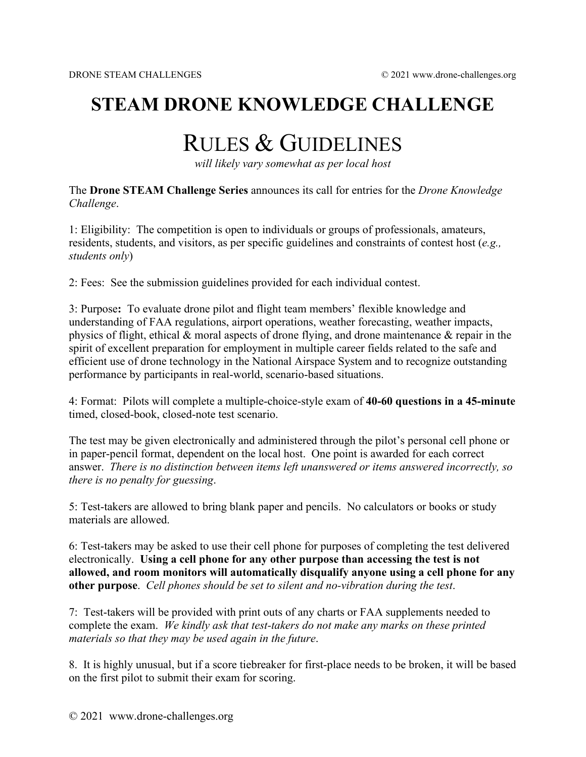## **STEAM DRONE KNOWLEDGE CHALLENGE**

## RULES & GUIDELINES

*will likely vary somewhat as per local host*

The **Drone STEAM Challenge Series** announces its call for entries for the *Drone Knowledge Challenge*.

1: Eligibility: The competition is open to individuals or groups of professionals, amateurs, residents, students, and visitors, as per specific guidelines and constraints of contest host (*e.g., students only*)

2: Fees: See the submission guidelines provided for each individual contest.

3: Purpose**:** To evaluate drone pilot and flight team members' flexible knowledge and understanding of FAA regulations, airport operations, weather forecasting, weather impacts, physics of flight, ethical & moral aspects of drone flying, and drone maintenance & repair in the spirit of excellent preparation for employment in multiple career fields related to the safe and efficient use of drone technology in the National Airspace System and to recognize outstanding performance by participants in real-world, scenario-based situations.

4: Format: Pilots will complete a multiple-choice-style exam of **40-60 questions in a 45-minute** timed, closed-book, closed-note test scenario.

The test may be given electronically and administered through the pilot's personal cell phone or in paper-pencil format, dependent on the local host. One point is awarded for each correct answer. *There is no distinction between items left unanswered or items answered incorrectly, so there is no penalty for guessing*.

5: Test-takers are allowed to bring blank paper and pencils. No calculators or books or study materials are allowed.

6: Test-takers may be asked to use their cell phone for purposes of completing the test delivered electronically. **Using a cell phone for any other purpose than accessing the test is not allowed, and room monitors will automatically disqualify anyone using a cell phone for any other purpose**. *Cell phones should be set to silent and no-vibration during the test*.

7: Test-takers will be provided with print outs of any charts or FAA supplements needed to complete the exam. *We kindly ask that test-takers do not make any marks on these printed materials so that they may be used again in the future*.

8. It is highly unusual, but if a score tiebreaker for first-place needs to be broken, it will be based on the first pilot to submit their exam for scoring.